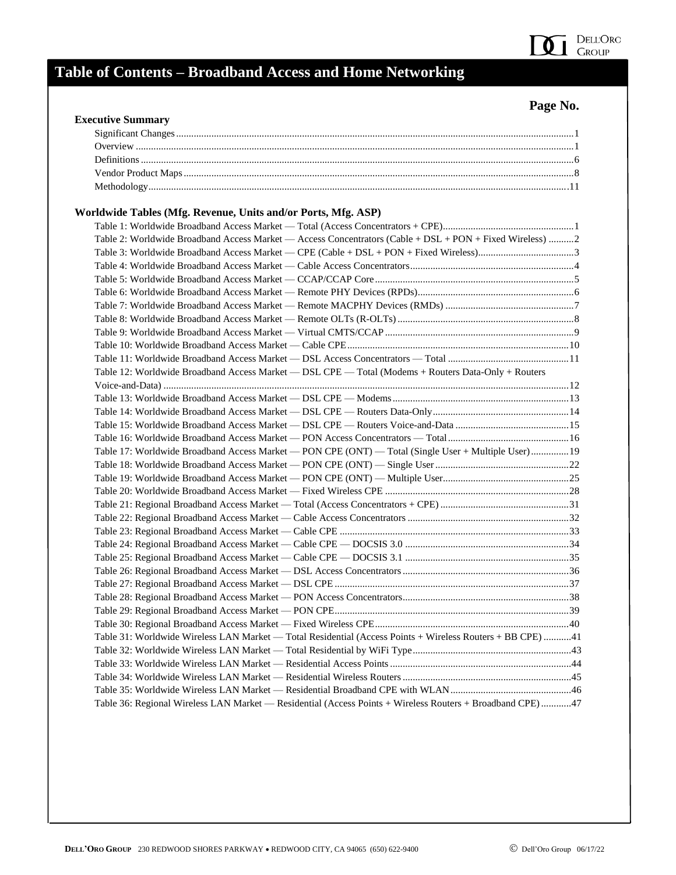

| <b>Executive Summary</b>                                                                                   |  |
|------------------------------------------------------------------------------------------------------------|--|
|                                                                                                            |  |
|                                                                                                            |  |
|                                                                                                            |  |
|                                                                                                            |  |
|                                                                                                            |  |
|                                                                                                            |  |
| Worldwide Tables (Mfg. Revenue, Units and/or Ports, Mfg. ASP)                                              |  |
|                                                                                                            |  |
| Table 2: Worldwide Broadband Access Market — Access Concentrators (Cable + DSL + PON + Fixed Wireless) 2   |  |
|                                                                                                            |  |
|                                                                                                            |  |
|                                                                                                            |  |
|                                                                                                            |  |
|                                                                                                            |  |
|                                                                                                            |  |
|                                                                                                            |  |
|                                                                                                            |  |
|                                                                                                            |  |
| Table 12: Worldwide Broadband Access Market — DSL CPE — Total (Modems + Routers Data-Only + Routers        |  |
|                                                                                                            |  |
|                                                                                                            |  |
|                                                                                                            |  |
|                                                                                                            |  |
|                                                                                                            |  |
| Table 17: Worldwide Broadband Access Market - PON CPE (ONT) - Total (Single User + Multiple User)  19      |  |
|                                                                                                            |  |
|                                                                                                            |  |
|                                                                                                            |  |
|                                                                                                            |  |
|                                                                                                            |  |
|                                                                                                            |  |
|                                                                                                            |  |
|                                                                                                            |  |
|                                                                                                            |  |
|                                                                                                            |  |
|                                                                                                            |  |
|                                                                                                            |  |
|                                                                                                            |  |
| Table 31: Worldwide Wireless LAN Market - Total Residential (Access Points + Wireless Routers + BB CPE) 41 |  |
|                                                                                                            |  |
|                                                                                                            |  |
|                                                                                                            |  |
|                                                                                                            |  |
|                                                                                                            |  |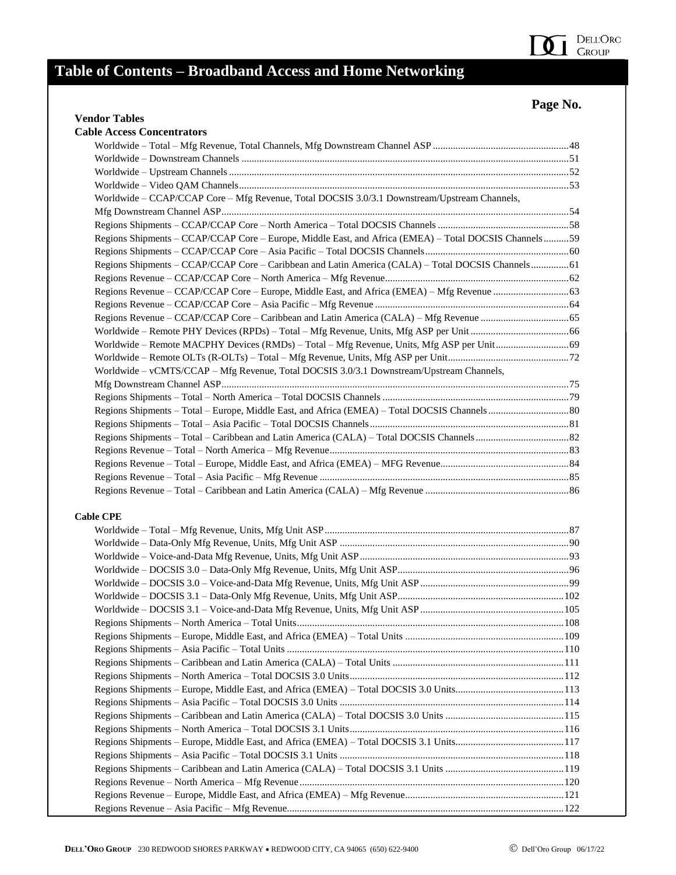#### **Page No.**

#### **Vendor Tables Cable Access Concentrators** Worldwide – Total – Mfg Revenue, Total Channels, Mfg Downstream Channel ASP ......................................................48 Worldwide – Downstream Channels ..................................................................................................................................51 Worldwide – Upstream Channels.......................................................................................................................................52 Worldwide – Video QAM Channels...................................................................................................................................53 Worldwide – CCAP/CCAP Core – Mfg Revenue, Total DOCSIS 3.0/3.1 Downstream/Upstream Channels, Mfg Downstream Channel ASP..........................................................................................................................................54 Regions Shipments – CCAP/CCAP Core – North America – Total DOCSIS Channels ....................................................58 Regions Shipments – CCAP/CCAP Core – Europe, Middle East, and Africa (EMEA) – Total DOCSIS Channels..........59 Regions Shipments – CCAP/CCAP Core – Asia Pacific – Total DOCSIS Channels.........................................................60 Regions Shipments – CCAP/CCAP Core – Caribbean and Latin America (CALA) – Total DOCSIS Channels...............61 Regions Revenue – CCAP/CCAP Core – North America – Mfg Revenue.........................................................................62 Regions Revenue – CCAP/CCAP Core – Europe, Middle East, and Africa (EMEA) – Mfg Revenue ..............................63 Regions Revenue – CCAP/CCAP Core – Asia Pacific – Mfg Revenue .............................................................................64 Regions Revenue – CCAP/CCAP Core – Caribbean and Latin America (CALA) – Mfg Revenue ...................................65 Worldwide – Remote PHY Devices (RPDs) – Total – Mfg Revenue, Units, Mfg ASP per Unit .......................................66 Worldwide – Remote MACPHY Devices (RMDs) – Total – Mfg Revenue, Units, Mfg ASP per Unit.............................69 Worldwide – Remote OLTs (R-OLTs) – Total – Mfg Revenue, Units, Mfg ASP per Unit................................................72 Worldwide – vCMTS/CCAP – Mfg Revenue, Total DOCSIS 3.0/3.1 Downstream/Upstream Channels, Mfg Downstream Channel ASP..........................................................................................................................................75 Regions Shipments – Total – North America – Total DOCSIS Channels ..........................................................................79 Regions Shipments – Total – Europe, Middle East, and Africa (EMEA) – Total DOCSIS Channels................................80 Regions Shipments – Total – Asia Pacific – Total DOCSIS Channels...............................................................................81 Regions Shipments – Total – Caribbean and Latin America (CALA) – Total DOCSIS Channels.....................................82 Regions Revenue – Total – North America – Mfg Revenue...............................................................................................83 Regions Revenue – Total – Europe, Middle East, and Africa (EMEA) – MFG Revenue...................................................84 Regions Revenue – Total – Asia Pacific – Mfg Revenue ...................................................................................................85 Regions Revenue – Total – Caribbean and Latin America (CALA) – Mfg Revenue .........................................................86 **Cable CPE** Worldwide – Total – Mfg Revenue, Units, Mfg Unit ASP.................................................................................................87 Worldwide – Data-Only Mfg Revenue, Units, Mfg Unit ASP ...........................................................................................90 Worldwide – Voice-and-Data Mfg Revenue, Units, Mfg Unit ASP...................................................................................93 Worldwide – DOCSIS 3.0 – Data-Only Mfg Revenue, Units, Mfg Unit ASP....................................................................96 Worldwide – DOCSIS 3.0 – Voice-and-Data Mfg Revenue, Units, Mfg Unit ASP ...........................................................99 Worldwide – DOCSIS 3.1 – Data-Only Mfg Revenue, Units, Mfg Unit ASP..................................................................102 Worldwide – DOCSIS 3.1 – Voice-and-Data Mfg Revenue, Units, Mfg Unit ASP.........................................................105 Regions Shipments – North America – Total Units..........................................................................................................108 Regions Shipments – Europe, Middle East, and Africa (EMEA) – Total Units ...............................................................109 Regions Shipments – Asia Pacific – Total Units ..............................................................................................................110 Regions Shipments – Caribbean and Latin America (CALA) – Total Units ....................................................................111 Regions Shipments – North America – Total DOCSIS 3.0 Units.....................................................................................112 Regions Shipments – Europe, Middle East, and Africa (EMEA) – Total DOCSIS 3.0 Units...........................................113 Regions Shipments – Asia Pacific – Total DOCSIS 3.0 Units .........................................................................................114 Regions Shipments – Caribbean and Latin America (CALA) – Total DOCSIS 3.0 Units ...............................................115 Regions Shipments – North America – Total DOCSIS 3.1 Units.....................................................................................116 Regions Shipments – Europe, Middle East, and Africa (EMEA) – Total DOCSIS 3.1 Units...........................................117 Regions Shipments – Asia Pacific – Total DOCSIS 3.1 Units .........................................................................................118 Regions Shipments – Caribbean and Latin America (CALA) – Total DOCSIS 3.1 Units ...............................................119 Regions Revenue – North America – Mfg Revenue.........................................................................................................120 Regions Revenue – Europe, Middle East, and Africa (EMEA) – Mfg Revenue...............................................................121 Regions Revenue – Asia Pacific – Mfg Revenue..............................................................................................................122

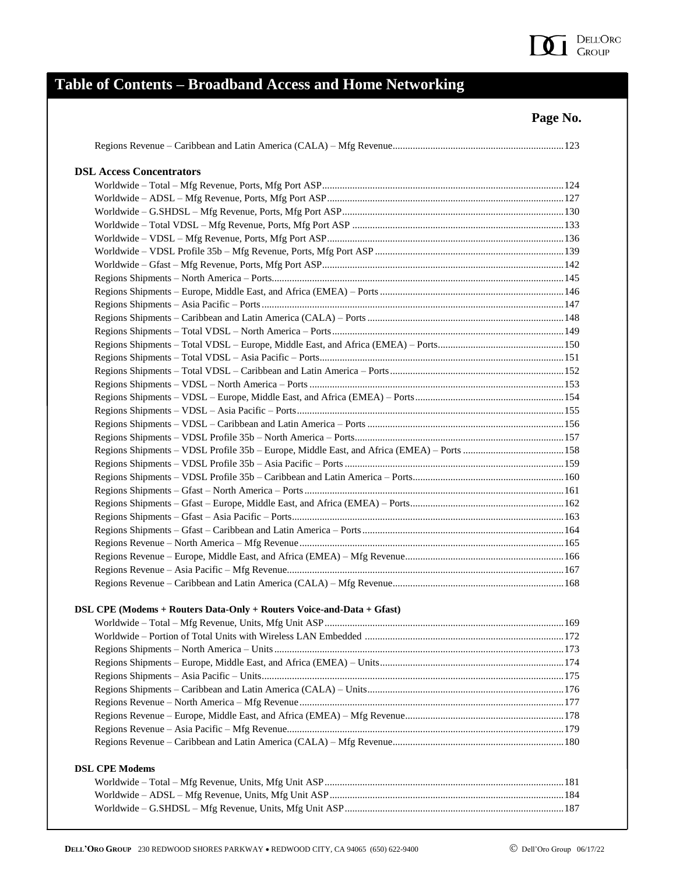

| <b>DSL Access Concentrators</b>                                       |  |
|-----------------------------------------------------------------------|--|
|                                                                       |  |
|                                                                       |  |
|                                                                       |  |
|                                                                       |  |
|                                                                       |  |
|                                                                       |  |
|                                                                       |  |
|                                                                       |  |
|                                                                       |  |
|                                                                       |  |
|                                                                       |  |
|                                                                       |  |
|                                                                       |  |
|                                                                       |  |
|                                                                       |  |
|                                                                       |  |
|                                                                       |  |
|                                                                       |  |
|                                                                       |  |
|                                                                       |  |
|                                                                       |  |
|                                                                       |  |
|                                                                       |  |
|                                                                       |  |
|                                                                       |  |
|                                                                       |  |
|                                                                       |  |
|                                                                       |  |
|                                                                       |  |
|                                                                       |  |
|                                                                       |  |
|                                                                       |  |
|                                                                       |  |
| DSL CPE (Modems + Routers Data-Only + Routers Voice-and-Data + Gfast) |  |
|                                                                       |  |
|                                                                       |  |
|                                                                       |  |
|                                                                       |  |
|                                                                       |  |
|                                                                       |  |
|                                                                       |  |
|                                                                       |  |
|                                                                       |  |
|                                                                       |  |
|                                                                       |  |
| <b>DSL CPE Modems</b>                                                 |  |
|                                                                       |  |
|                                                                       |  |
|                                                                       |  |
|                                                                       |  |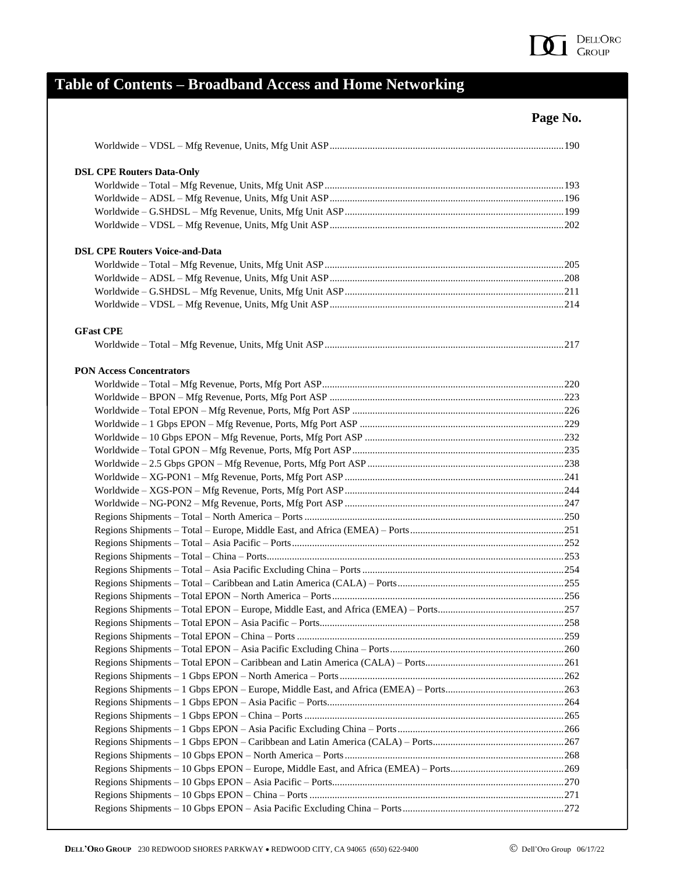

|                                       | Page No. |
|---------------------------------------|----------|
|                                       |          |
| <b>DSL CPE Routers Data-Only</b>      |          |
|                                       |          |
|                                       |          |
|                                       |          |
|                                       |          |
| <b>DSL CPE Routers Voice-and-Data</b> |          |
|                                       |          |
|                                       |          |
|                                       |          |
|                                       |          |
| <b>GFast CPE</b>                      |          |
|                                       |          |
| <b>PON Access Concentrators</b>       |          |
|                                       |          |
|                                       |          |
|                                       |          |
|                                       |          |
|                                       |          |
|                                       |          |
|                                       |          |
|                                       |          |
|                                       |          |
|                                       |          |
|                                       |          |
|                                       |          |
|                                       |          |
|                                       |          |
|                                       |          |
|                                       |          |
|                                       |          |
|                                       |          |
|                                       |          |
|                                       |          |
|                                       |          |
|                                       |          |
|                                       |          |
|                                       |          |
|                                       |          |
|                                       |          |
|                                       |          |
|                                       |          |
|                                       |          |
|                                       |          |
|                                       |          |
|                                       |          |
|                                       |          |
|                                       |          |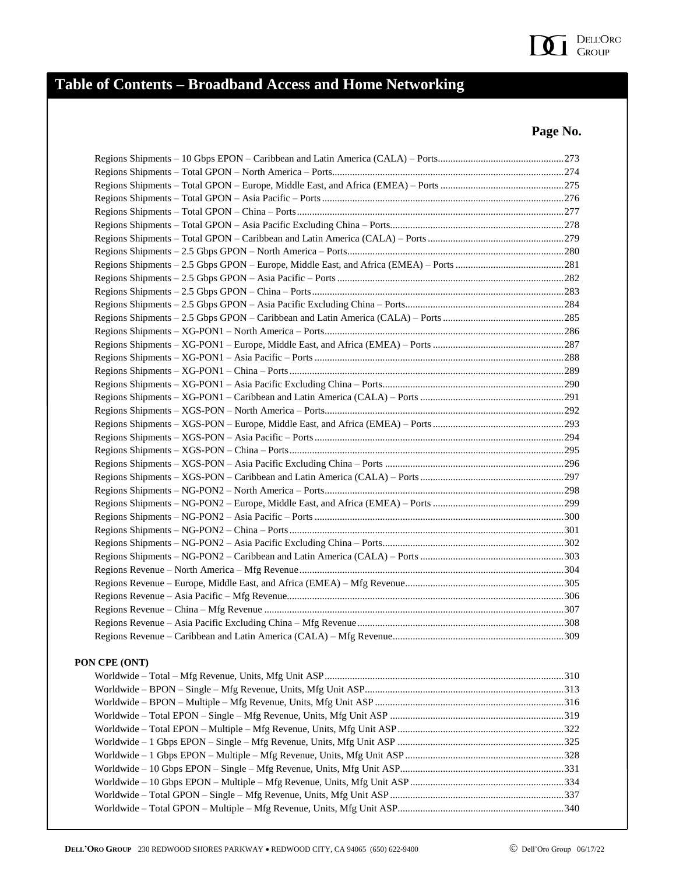

| PON CPE (ONT) |  |
|---------------|--|
|               |  |
|               |  |
|               |  |
|               |  |
|               |  |
|               |  |
|               |  |
|               |  |
|               |  |
|               |  |
|               |  |
|               |  |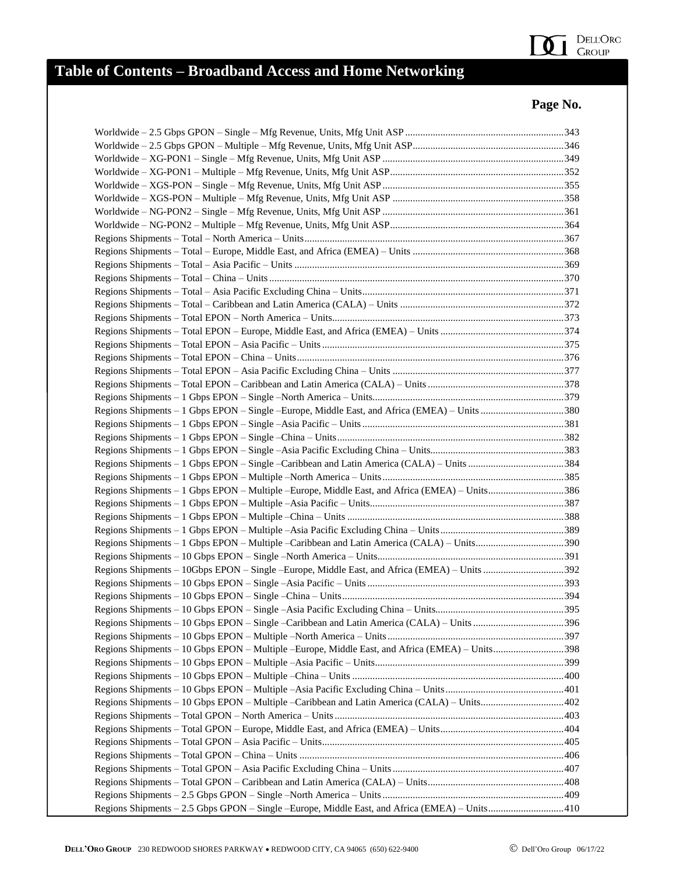

| Regions Shipments - 1 Gbps EPON - Single -Europe, Middle East, and Africa (EMEA) - Units 380    |  |
|-------------------------------------------------------------------------------------------------|--|
|                                                                                                 |  |
|                                                                                                 |  |
|                                                                                                 |  |
| Regions Shipments - 1 Gbps EPON - Single - Caribbean and Latin America (CALA) - Units 384       |  |
|                                                                                                 |  |
| Regions Shipments - 1 Gbps EPON - Multiple - Europe, Middle East, and Africa (EMEA) - Units386  |  |
|                                                                                                 |  |
|                                                                                                 |  |
|                                                                                                 |  |
| Regions Shipments - 1 Gbps EPON - Multiple - Caribbean and Latin America (CALA) - Units390      |  |
|                                                                                                 |  |
| Regions Shipments - 10Gbps EPON - Single -Europe, Middle East, and Africa (EMEA) - Units 392    |  |
|                                                                                                 |  |
|                                                                                                 |  |
|                                                                                                 |  |
| Regions Shipments - 10 Gbps EPON - Single - Caribbean and Latin America (CALA) - Units 396      |  |
|                                                                                                 |  |
| Regions Shipments - 10 Gbps EPON - Multiple - Europe, Middle East, and Africa (EMEA) - Units398 |  |
|                                                                                                 |  |
|                                                                                                 |  |
|                                                                                                 |  |
|                                                                                                 |  |
|                                                                                                 |  |
|                                                                                                 |  |
|                                                                                                 |  |
|                                                                                                 |  |
|                                                                                                 |  |
|                                                                                                 |  |
|                                                                                                 |  |
| Regions Shipments - 2.5 Gbps GPON - Single -Europe, Middle East, and Africa (EMEA) - Units410   |  |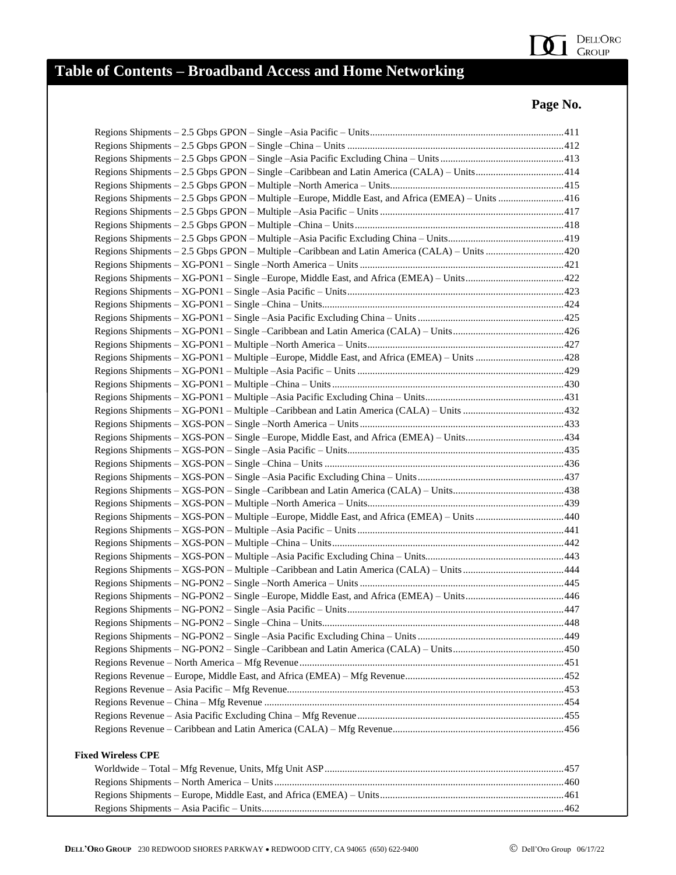

| Regions Shipments - 2.5 Gbps GPON - Single -Caribbean and Latin America (CALA) - Units414         |  |
|---------------------------------------------------------------------------------------------------|--|
|                                                                                                   |  |
| Regions Shipments - 2.5 Gbps GPON - Multiple - Europe, Middle East, and Africa (EMEA) - Units 416 |  |
|                                                                                                   |  |
|                                                                                                   |  |
|                                                                                                   |  |
|                                                                                                   |  |
|                                                                                                   |  |
|                                                                                                   |  |
|                                                                                                   |  |
|                                                                                                   |  |
|                                                                                                   |  |
|                                                                                                   |  |
|                                                                                                   |  |
|                                                                                                   |  |
|                                                                                                   |  |
|                                                                                                   |  |
|                                                                                                   |  |
|                                                                                                   |  |
|                                                                                                   |  |
|                                                                                                   |  |
|                                                                                                   |  |
|                                                                                                   |  |
|                                                                                                   |  |
|                                                                                                   |  |
|                                                                                                   |  |
| Regions Shipments - XGS-PON - Multiple - Europe, Middle East, and Africa (EMEA) - Units 440       |  |
|                                                                                                   |  |
|                                                                                                   |  |
|                                                                                                   |  |
|                                                                                                   |  |
|                                                                                                   |  |
| Regions Shipments - NG-PON2 - Single -Europe, Middle East, and Africa (EMEA) - Units446           |  |
|                                                                                                   |  |
|                                                                                                   |  |
|                                                                                                   |  |
|                                                                                                   |  |
|                                                                                                   |  |
|                                                                                                   |  |
|                                                                                                   |  |
|                                                                                                   |  |
|                                                                                                   |  |
|                                                                                                   |  |
|                                                                                                   |  |
| <b>Fixed Wireless CPE</b>                                                                         |  |
|                                                                                                   |  |
|                                                                                                   |  |
|                                                                                                   |  |
|                                                                                                   |  |